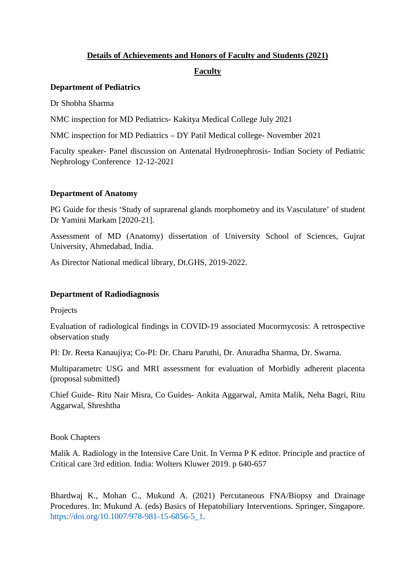### **Details of Achievements and Honors of Faculty and Students (2021)**

## **Faculty**

### **Department of Pediatrics**

Dr Shobha Sharma

NMC inspection for MD Pediatrics- Kakitya Medical College July 2021

NMC inspection for MD Pediatrics – DY Patil Medical college- November 2021

Faculty speaker- Panel discussion on Antenatal Hydronephrosis- Indian Society of Pediatric Nephrology Conference 12-12-2021

### **Department of Anatomy**

PG Guide for thesis 'Study of suprarenal glands morphometry and its Vasculature' of student Dr Yamini Markam [2020-21].

Assessment of MD (Anatomy) dissertation of University School of Sciences, Gujrat University, Ahmedabad, India.

As Director National medical library, Dt.GHS, 2019-2022.

## **Department of Radiodiagnosis**

Projects

Evaluation of radiological findings in COVID-19 associated Mucormycosis: A retrospective observation study

PI: Dr. Reeta Kanaujiya; Co-PI: Dr. Charu Paruthi, Dr. Anuradha Sharma, Dr. Swarna.

Multiparametrc USG and MRI assessment for evaluation of Morbidly adherent placenta (proposal submitted)

Chief Guide- Ritu Nair Misra, Co Guides- Ankita Aggarwal, Amita Malik, Neha Bagri, Ritu Aggarwal, Shreshtha

Book Chapters

Malik A. Radiology in the Intensive Care Unit. In Verma P K editor. Principle and practice of Critical care 3rd edition. India: Wolters Kluwer 2019. p 640-657

Bhardwaj K., Mohan C., Mukund A. (2021) Percutaneous FNA/Biopsy and Drainage Procedures. In: Mukund A. (eds) Basics of Hepatobiliary Interventions. Springer, Singapore. https://doi.org/10.1007/978-981-15-6856-5\_1.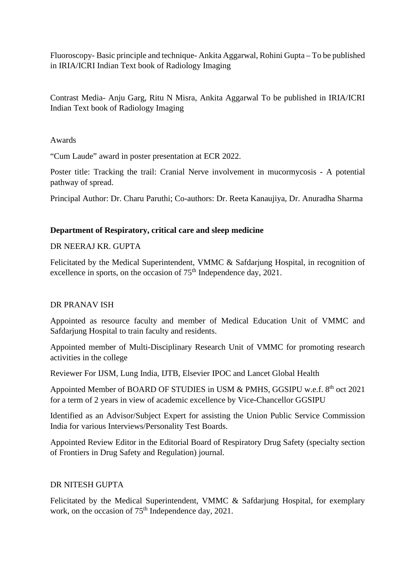Fluoroscopy- Basic principle and technique- Ankita Aggarwal, Rohini Gupta – To be published in IRIA/ICRI Indian Text book of Radiology Imaging

Contrast Media- Anju Garg, Ritu N Misra, Ankita Aggarwal To be published in IRIA/ICRI Indian Text book of Radiology Imaging

Awards

"Cum Laude" award in poster presentation at ECR 2022.

Poster title: Tracking the trail: Cranial Nerve involvement in mucormycosis - A potential pathway of spread.

Principal Author: Dr. Charu Paruthi; Co-authors: Dr. Reeta Kanaujiya, Dr. Anuradha Sharma

## **Department of Respiratory, critical care and sleep medicine**

DR NEERAJ KR. GUPTA

Felicitated by the Medical Superintendent, VMMC & Safdarjung Hospital, in recognition of excellence in sports, on the occasion of 75<sup>th</sup> Independence day, 2021.

### DR PRANAV ISH

Appointed as resource faculty and member of Medical Education Unit of VMMC and Safdarjung Hospital to train faculty and residents.

Appointed member of Multi-Disciplinary Research Unit of VMMC for promoting research activities in the college

Reviewer For IJSM, Lung India, IJTB, Elsevier IPOC and Lancet Global Health

Appointed Member of BOARD OF STUDIES in USM & PMHS, GGSIPU w.e.f. 8<sup>th</sup> oct 2021 for a term of 2 years in view of academic excellence by Vice-Chancellor GGSIPU

Identified as an Advisor/Subject Expert for assisting the Union Public Service Commission India for various Interviews/Personality Test Boards.

Appointed Review Editor in the Editorial Board of Respiratory Drug Safety (specialty section of Frontiers in Drug Safety and Regulation) journal.

## DR NITESH GUPTA

Felicitated by the Medical Superintendent, VMMC & Safdarjung Hospital, for exemplary work, on the occasion of  $75<sup>th</sup>$  Independence day, 2021.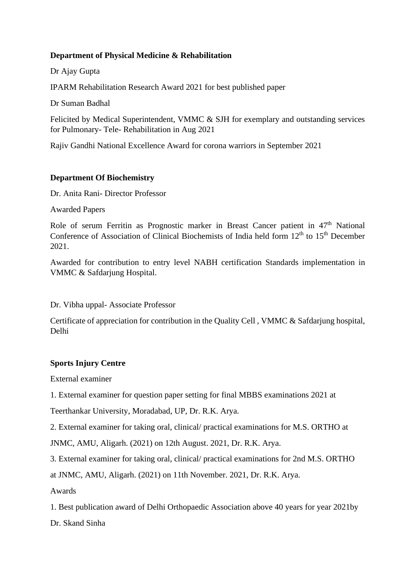## **Department of Physical Medicine & Rehabilitation**

Dr Ajay Gupta

IPARM Rehabilitation Research Award 2021 for best published paper

Dr Suman Badhal

Felicited by Medical Superintendent, VMMC & SJH for exemplary and outstanding services for Pulmonary- Tele- Rehabilitation in Aug 2021

Rajiv Gandhi National Excellence Award for corona warriors in September 2021

## **Department Of Biochemistry**

Dr. Anita Rani- Director Professor

Awarded Papers

Role of serum Ferritin as Prognostic marker in Breast Cancer patient in 47<sup>th</sup> National Conference of Association of Clinical Biochemists of India held form  $12<sup>th</sup>$  to  $15<sup>th</sup>$  December 2021.

Awarded for contribution to entry level NABH certification Standards implementation in VMMC & Safdarjung Hospital.

Dr. Vibha uppal- Associate Professor

Certificate of appreciation for contribution in the Quality Cell , VMMC & Safdarjung hospital, Delhi

## **Sports Injury Centre**

External examiner

1. External examiner for question paper setting for final MBBS examinations 2021 at

Teerthankar University, Moradabad, UP, Dr. R.K. Arya.

2. External examiner for taking oral, clinical/ practical examinations for M.S. ORTHO at

JNMC, AMU, Aligarh. (2021) on 12th August. 2021, Dr. R.K. Arya.

3. External examiner for taking oral, clinical/ practical examinations for 2nd M.S. ORTHO at JNMC, AMU, Aligarh. (2021) on 11th November. 2021, Dr. R.K. Arya.

Awards

1. Best publication award of Delhi Orthopaedic Association above 40 years for year 2021by

Dr. Skand Sinha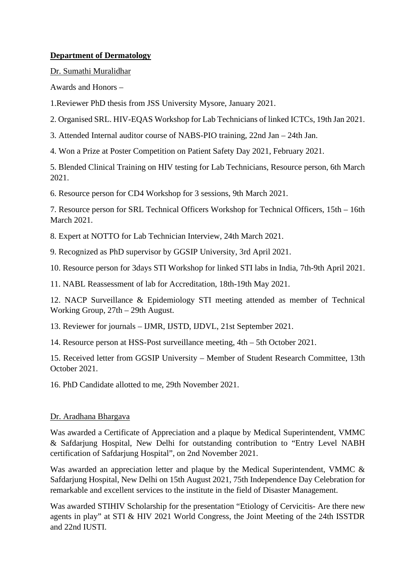## **Department of Dermatology**

Dr. Sumathi Muralidhar

Awards and Honors –

1.Reviewer PhD thesis from JSS University Mysore, January 2021.

2. Organised SRL. HIV-EQAS Workshop for Lab Technicians of linked ICTCs, 19th Jan 2021.

3. Attended Internal auditor course of NABS-PIO training, 22nd Jan – 24th Jan.

4. Won a Prize at Poster Competition on Patient Safety Day 2021, February 2021.

5. Blended Clinical Training on HIV testing for Lab Technicians, Resource person, 6th March 2021.

6. Resource person for CD4 Workshop for 3 sessions, 9th March 2021.

7. Resource person for SRL Technical Officers Workshop for Technical Officers, 15th – 16th March 2021.

8. Expert at NOTTO for Lab Technician Interview, 24th March 2021.

9. Recognized as PhD supervisor by GGSIP University, 3rd April 2021.

10. Resource person for 3days STI Workshop for linked STI labs in India, 7th-9th April 2021.

11. NABL Reassessment of lab for Accreditation, 18th-19th May 2021.

12. NACP Surveillance & Epidemiology STI meeting attended as member of Technical Working Group, 27th – 29th August.

13. Reviewer for journals – IJMR, IJSTD, IJDVL, 21st September 2021.

14. Resource person at HSS-Post surveillance meeting, 4th – 5th October 2021.

15. Received letter from GGSIP University – Member of Student Research Committee, 13th October 2021.

16. PhD Candidate allotted to me, 29th November 2021.

## Dr. Aradhana Bhargava

Was awarded a Certificate of Appreciation and a plaque by Medical Superintendent, VMMC & Safdarjung Hospital, New Delhi for outstanding contribution to "Entry Level NABH certification of Safdarjung Hospital", on 2nd November 2021.

Was awarded an appreciation letter and plaque by the Medical Superintendent, VMMC & Safdarjung Hospital, New Delhi on 15th August 2021, 75th Independence Day Celebration for remarkable and excellent services to the institute in the field of Disaster Management.

Was awarded STIHIV Scholarship for the presentation "Etiology of Cervicitis- Are there new agents in play" at STI & HIV 2021 World Congress, the Joint Meeting of the 24th ISSTDR and 22nd IUSTI.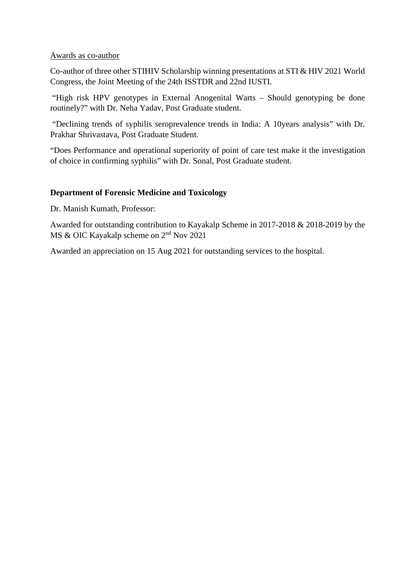#### Awards as co-author

Co-author of three other STIHIV Scholarship winning presentations at STI & HIV 2021 World Congress, the Joint Meeting of the 24th ISSTDR and 22nd IUSTI.

"High risk HPV genotypes in External Anogenital Warts – Should genotyping be done routinely?" with Dr. Neha Yadav, Post Graduate student.

"Declining trends of syphilis seroprevalence trends in India: A 10years analysis" with Dr. Prakhar Shrivastava, Post Graduate Student.

"Does Performance and operational superiority of point of care test make it the investigation of choice in confirming syphilis" with Dr. Sonal, Post Graduate student.

### **Department of Forensic Medicine and Toxicology**

Dr. Manish Kumath, Professor:

Awarded for outstanding contribution to Kayakalp Scheme in 2017-2018 & 2018-2019 by the MS & OIC Kayakalp scheme on 2<sup>nd</sup> Nov 2021

Awarded an appreciation on 15 Aug 2021 for outstanding services to the hospital.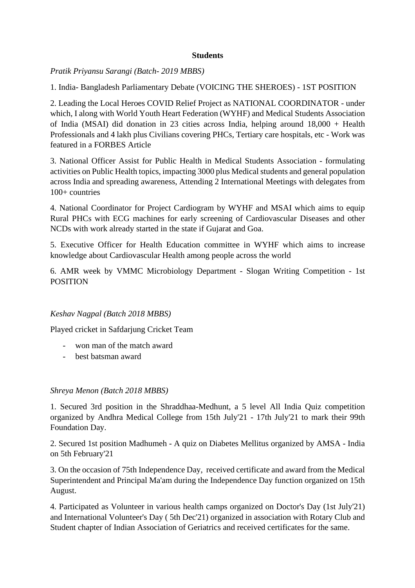### **Students**

## *Pratik Priyansu Sarangi (Batch- 2019 MBBS)*

1. India- Bangladesh Parliamentary Debate (VOICING THE SHEROES) - 1ST POSITION

2. Leading the Local Heroes COVID Relief Project as NATIONAL COORDINATOR - under which, I along with World Youth Heart Federation (WYHF) and Medical Students Association of India (MSAI) did donation in 23 cities across India, helping around 18,000 + Health Professionals and 4 lakh plus Civilians covering PHCs, Tertiary care hospitals, etc - Work was featured in a FORBES Article

3. National Officer Assist for Public Health in Medical Students Association - formulating activities on Public Health topics, impacting 3000 plus Medical students and general population across India and spreading awareness, Attending 2 International Meetings with delegates from 100+ countries

4. National Coordinator for Project Cardiogram by WYHF and MSAI which aims to equip Rural PHCs with ECG machines for early screening of Cardiovascular Diseases and other NCDs with work already started in the state if Gujarat and Goa.

5. Executive Officer for Health Education committee in WYHF which aims to increase knowledge about Cardiovascular Health among people across the world

6. AMR week by VMMC Microbiology Department - Slogan Writing Competition - 1st POSITION

## *Keshav Nagpal (Batch 2018 MBBS)*

Played cricket in Safdarjung Cricket Team

- won man of the match award
- best batsman award

## *Shreya Menon (Batch 2018 MBBS)*

1. Secured 3rd position in the Shraddhaa-Medhunt, a 5 level All India Quiz competition organized by Andhra Medical College from 15th July'21 - 17th July'21 to mark their 99th Foundation Day.

2. Secured 1st position Madhumeh - A quiz on Diabetes Mellitus organized by AMSA - India on 5th February'21

3. On the occasion of 75th Independence Day, received certificate and award from the Medical Superintendent and Principal Ma'am during the Independence Day function organized on 15th August.

4. Participated as Volunteer in various health camps organized on Doctor's Day (1st July'21) and International Volunteer's Day ( 5th Dec'21) organized in association with Rotary Club and Student chapter of Indian Association of Geriatrics and received certificates for the same.